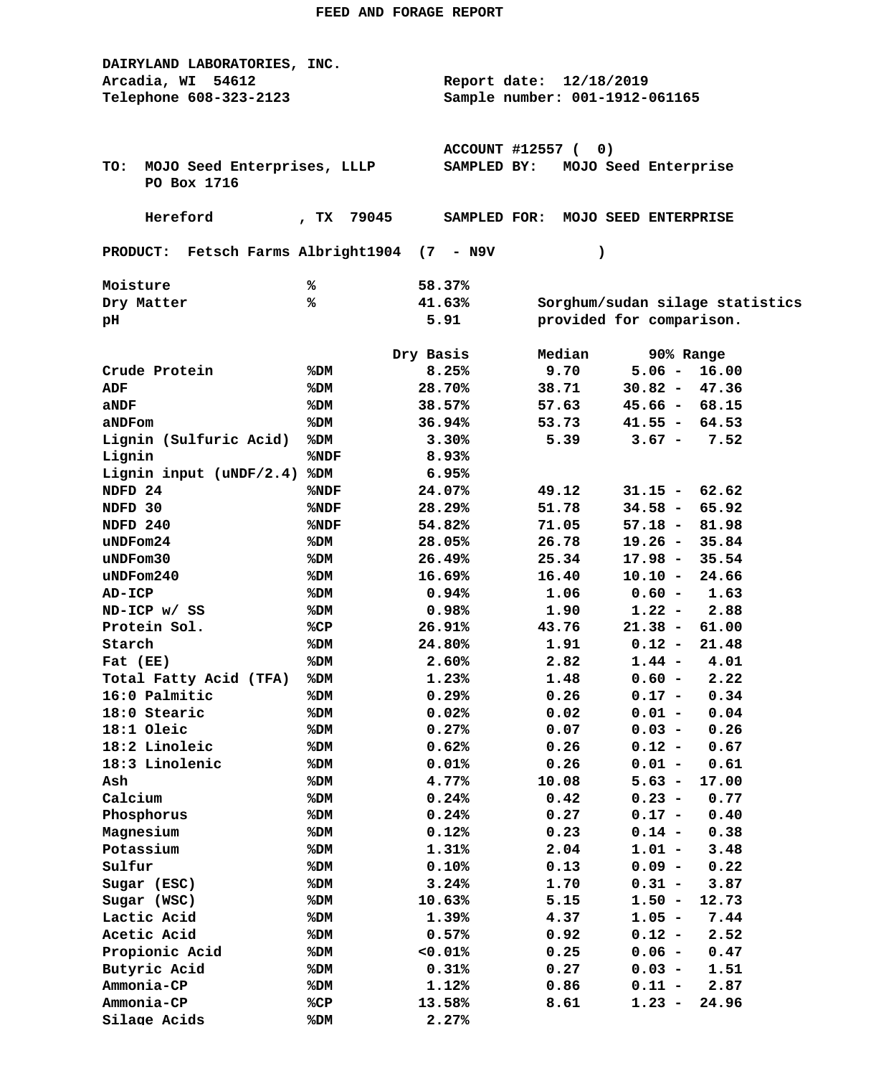| DAIRYLAND LABORATORIES, INC.                |               |                                     |                                |                                   |  |  |  |
|---------------------------------------------|---------------|-------------------------------------|--------------------------------|-----------------------------------|--|--|--|
| Arcadia, WI<br>54612                        |               | Report date: 12/18/2019             |                                |                                   |  |  |  |
| Telephone 608-323-2123                      |               |                                     | Sample number: 001-1912-061165 |                                   |  |  |  |
|                                             |               |                                     |                                |                                   |  |  |  |
|                                             |               |                                     |                                |                                   |  |  |  |
|                                             |               | ACCOUNT #12557 (<br>0)              |                                |                                   |  |  |  |
| MOJO Seed Enterprises, LLLP<br>TO:          |               | MOJO Seed Enterprise<br>SAMPLED BY: |                                |                                   |  |  |  |
| PO Box 1716                                 |               |                                     |                                |                                   |  |  |  |
| Hereford                                    | 79045<br>, TX |                                     |                                | SAMPLED FOR: MOJO SEED ENTERPRISE |  |  |  |
|                                             |               |                                     |                                |                                   |  |  |  |
| PRODUCT: Fetsch Farms Albright1904 (7 - N9V |               |                                     | $\lambda$                      |                                   |  |  |  |
| Moisture                                    | ℁             | 58.37%                              |                                |                                   |  |  |  |
| Dry Matter                                  | ℁             | 41.63%                              |                                | Sorghum/sudan silage statistics   |  |  |  |
| pН                                          |               | 5.91                                |                                | provided for comparison.          |  |  |  |
|                                             |               |                                     |                                |                                   |  |  |  |
|                                             |               | Dry Basis                           | Median                         | 90% Range                         |  |  |  |
| Crude Protein                               | %DM           | 8.25%                               | 9.70                           | $5.06 -$<br>16.00                 |  |  |  |
| ADF                                         | %DM           | 28.70%                              | 38.71                          | $30.82 -$<br>47.36                |  |  |  |
| aNDF                                        | %DM           | 38.57%                              | 57.63                          | $45.66 - 68.15$                   |  |  |  |
| aNDFom                                      | %DM           | 36.94%                              | 53.73                          | $41.55 - 64.53$                   |  |  |  |
| Lignin (Sulfuric Acid)                      | %DM           | 3.30%                               | 5.39                           | $3.67 -$<br>7.52                  |  |  |  |
| Lignin                                      | %NDF          | 8.93%                               |                                |                                   |  |  |  |
| Lignin input (uNDF/2.4)                     | %DM           | 6.95%                               |                                |                                   |  |  |  |
| NDFD <sub>24</sub>                          | %NDF          | 24.07%                              | 49.12                          | $31.15 - 62.62$                   |  |  |  |
| NDFD 30                                     | %NDF          | 28.29%                              | 51.78                          | $34.58 -$<br>65.92                |  |  |  |
| NDFD 240                                    | %NDF          | 54.82%                              | 71.05                          | $57.18 -$<br>81.98                |  |  |  |
| uNDFom24                                    | %DM           | 28.05%                              | 26.78                          | $19.26 -$<br>35.84                |  |  |  |
| uNDFom30                                    | %DM           | 26.49%                              | 25.34                          | 17.98 -<br>35.54                  |  |  |  |
| $u$ NDF $om240$                             | %DM           | 16.69%                              | 16.40                          | $10.10 -$<br>24.66                |  |  |  |
| AD-ICP                                      | %DM           | 0.94%                               | 1.06                           | $0.60 -$<br>1.63                  |  |  |  |
| ND-ICP w/ SS                                | %DM           | 0.98%                               | 1.90                           | 2.88<br>$1.22 -$                  |  |  |  |
| Protein Sol.                                | %CP           | 26.91%                              | 43.76                          | $21.38 -$<br>61.00                |  |  |  |
| Starch                                      | %DM           | 24.80%                              | 1.91                           | $0.12 -$<br>21.48                 |  |  |  |
| Fat (EE)                                    | %DM           | 2.60%                               | 2.82                           | $1.44 -$<br>4.01                  |  |  |  |
| Total Fatty Acid (TFA)                      | %DM           | 1.23%                               | 1.48                           | 2.22<br>$0.60 -$                  |  |  |  |
| 16:0 Palmitic                               | $8$ DM        | 0.29%                               | 0.26                           | $0.17 - 0.34$                     |  |  |  |
| 18:0 Stearic                                | %DM           | 0.02%                               | 0.02                           | $0.01 -$<br>0.04                  |  |  |  |
| 18:1 Oleic                                  | %DM           | 0.27%                               | 0.07                           | $0.03 -$<br>0.26                  |  |  |  |
| 18:2 Linoleic                               | %DM           | 0.62%                               | 0.26                           | $0.12 -$<br>0.67                  |  |  |  |
| 18:3 Linolenic                              | %DM           | 0.01%                               | 0.26                           | $0.01 -$<br>0.61                  |  |  |  |
| Ash                                         | %DM           | 4.77%                               | 10.08                          | $5.63 -$<br>17.00                 |  |  |  |
| Calcium                                     | %DM           | 0.24%                               | 0.42                           | $0.23 -$<br>0.77                  |  |  |  |
| Phosphorus                                  | %DM           | 0.24%                               | 0.27                           | $0.17 -$<br>0.40                  |  |  |  |
| Magnesium                                   | %DM           | 0.12%                               | 0.23                           | $0.14 -$<br>0.38                  |  |  |  |
| Potassium                                   | %DM           | 1.31%                               | 2.04                           | $1.01 -$<br>3.48                  |  |  |  |
| Sulfur                                      | %DM           | 0.10%                               | 0.13                           | $0.09 -$<br>0.22                  |  |  |  |
| Sugar (ESC)                                 | %DM           | 3.24%                               | 1.70                           | $0.31 -$<br>3.87                  |  |  |  |
| Sugar (WSC)                                 | %DM           | 10.63%                              | 5.15                           | $1.50 -$<br>12.73                 |  |  |  |
| Lactic Acid                                 | %DM           | 1.39%                               | 4.37                           | $1.05 -$<br>7.44                  |  |  |  |
| Acetic Acid                                 | %DM           | 0.57%                               | 0.92                           | $0.12 -$<br>2.52                  |  |  |  |
| Propionic Acid                              | %DM           | 0.01%                               | 0.25                           | $0.06 -$<br>0.47                  |  |  |  |
| Butyric Acid                                | %DM           | 0.31%                               | 0.27                           | $0.03 -$<br>1.51                  |  |  |  |
| Ammonia-CP                                  | %DM           | 1.12%                               | 0.86                           | 2.87<br>$0.11 -$                  |  |  |  |
| Ammonia-CP                                  | %CP           | 13.58%                              | 8.61                           | $1.23 -$<br>24.96                 |  |  |  |
| Silage Acids                                | %DM           | 2.27%                               |                                |                                   |  |  |  |